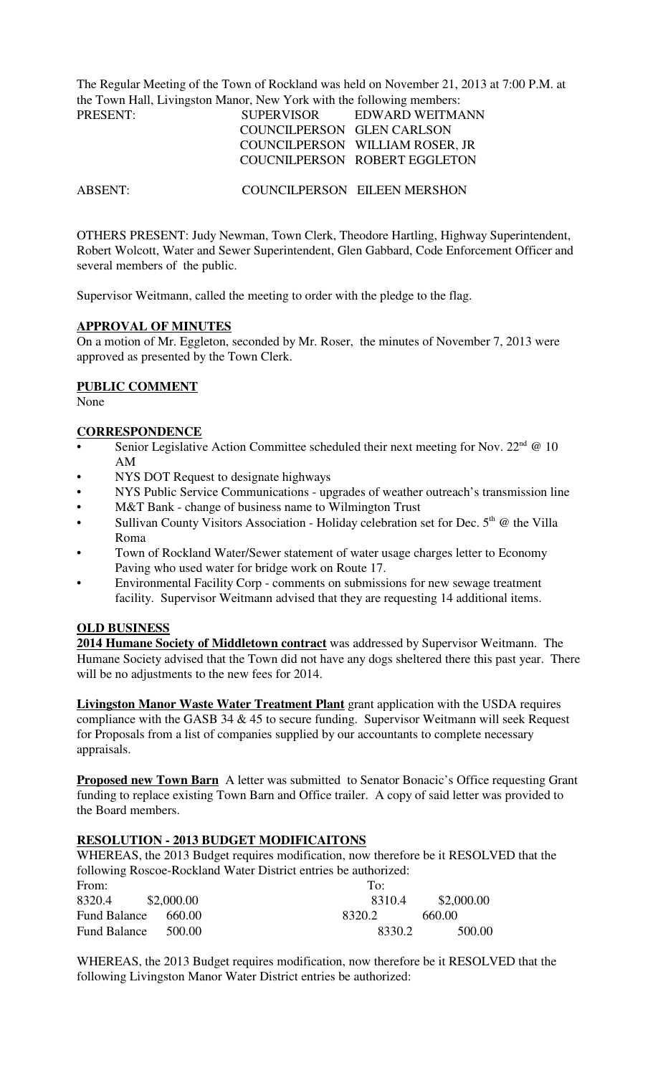The Regular Meeting of the Town of Rockland was held on November 21, 2013 at 7:00 P.M. at the Town Hall, Livingston Manor, New York with the following members:

| PRESENT: | <b>SUPERVISOR</b>          | EDWARD WEITMANN                 |
|----------|----------------------------|---------------------------------|
|          | COUNCILPERSON GLEN CARLSON |                                 |
|          |                            | COUNCILPERSON WILLIAM ROSER, JR |
|          |                            | COUCNILPERSON ROBERT EGGLETON   |

ABSENT: COUNCILPERSON EILEEN MERSHON

OTHERS PRESENT: Judy Newman, Town Clerk, Theodore Hartling, Highway Superintendent, Robert Wolcott, Water and Sewer Superintendent, Glen Gabbard, Code Enforcement Officer and several members of the public.

Supervisor Weitmann, called the meeting to order with the pledge to the flag.

#### **APPROVAL OF MINUTES**

On a motion of Mr. Eggleton, seconded by Mr. Roser, the minutes of November 7, 2013 were approved as presented by the Town Clerk.

## **PUBLIC COMMENT**

None

#### **CORRESPONDENCE**

- Senior Legislative Action Committee scheduled their next meeting for Nov.  $22<sup>nd</sup> @ 10$ AM
- NYS DOT Request to designate highways
- NYS Public Service Communications upgrades of weather outreach's transmission line
- M&T Bank change of business name to Wilmington Trust
- Sullivan County Visitors Association Holiday celebration set for Dec.  $5<sup>th</sup>$  @ the Villa Roma
- Town of Rockland Water/Sewer statement of water usage charges letter to Economy Paving who used water for bridge work on Route 17.
- Environmental Facility Corp comments on submissions for new sewage treatment facility. Supervisor Weitmann advised that they are requesting 14 additional items.

## **OLD BUSINESS**

**2014 Humane Society of Middletown contract** was addressed by Supervisor Weitmann. The Humane Society advised that the Town did not have any dogs sheltered there this past year. There will be no adjustments to the new fees for 2014.

**Livingston Manor Waste Water Treatment Plant** grant application with the USDA requires compliance with the GASB 34  $&$  45 to secure funding. Supervisor Weitmann will seek Request for Proposals from a list of companies supplied by our accountants to complete necessary appraisals.

**Proposed new Town Barn** A letter was submitted to Senator Bonacic's Office requesting Grant funding to replace existing Town Barn and Office trailer. A copy of said letter was provided to the Board members.

## **RESOLUTION - 2013 BUDGET MODIFICAITONS**

WHEREAS, the 2013 Budget requires modification, now therefore be it RESOLVED that the following Roscoe-Rockland Water District entries be authorized:

| From:                           | To:    |            |
|---------------------------------|--------|------------|
| 8320.4<br>\$2,000.00            | 8310.4 | \$2,000.00 |
| <b>Fund Balance</b><br>- 660.00 | 8320.2 | 660.00     |
| <b>Fund Balance</b><br>500.00   | 8330.2 | 500.00     |

WHEREAS, the 2013 Budget requires modification, now therefore be it RESOLVED that the following Livingston Manor Water District entries be authorized: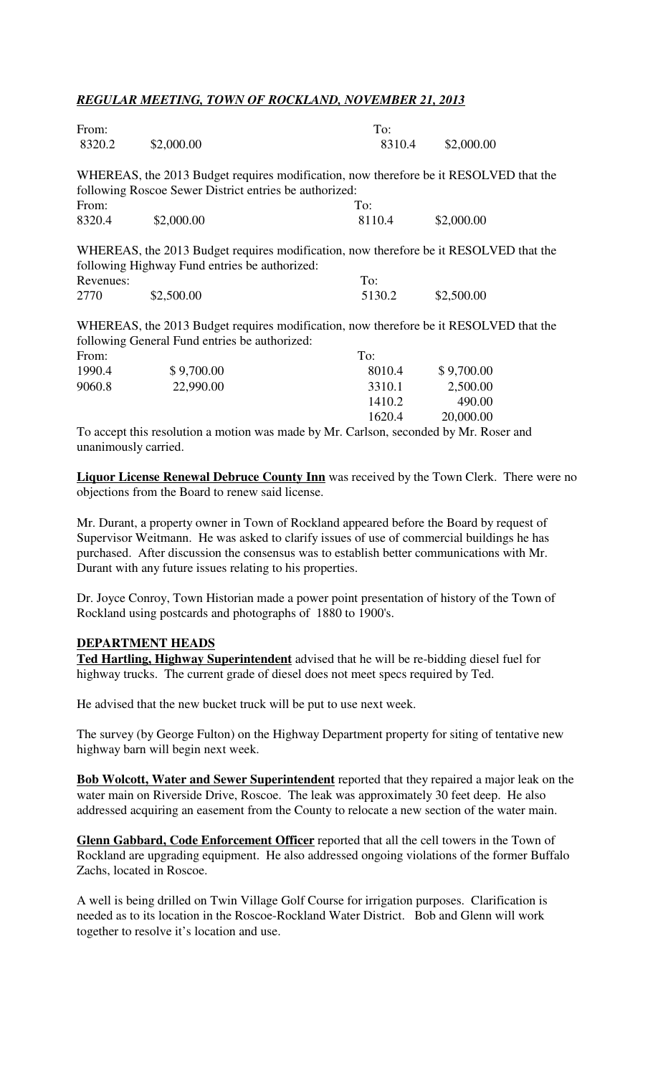## *REGULAR MEETING, TOWN OF ROCKLAND, NOVEMBER 21, 2013*

| From:     |                                                                                       | To:    |            |  |
|-----------|---------------------------------------------------------------------------------------|--------|------------|--|
| 8320.2    | \$2,000.00                                                                            | 8310.4 | \$2,000.00 |  |
|           | WHEREAS, the 2013 Budget requires modification, now therefore be it RESOLVED that the |        |            |  |
|           | following Roscoe Sewer District entries be authorized:                                |        |            |  |
| From:     |                                                                                       | To:    |            |  |
| 8320.4    | \$2,000.00                                                                            | 8110.4 | \$2,000.00 |  |
|           | WHEREAS, the 2013 Budget requires modification, now therefore be it RESOLVED that the |        |            |  |
|           | following Highway Fund entries be authorized:                                         |        |            |  |
| Revenues: |                                                                                       | To:    |            |  |
| 2770      | \$2,500.00                                                                            | 5130.2 | \$2,500.00 |  |
|           | WHEREAS, the 2013 Budget requires modification, now therefore be it RESOLVED that the |        |            |  |
|           | following General Fund entries be authorized:                                         |        |            |  |
| From:     |                                                                                       | To:    |            |  |
| 1990.4    | \$9,700.00                                                                            | 8010.4 | \$9,700.00 |  |
| 9060.8    | 22,990.00                                                                             | 3310.1 | 2,500.00   |  |
|           |                                                                                       | 1410.2 | 490.00     |  |

To accept this resolution a motion was made by Mr. Carlson, seconded by Mr. Roser and unanimously carried.

**Liquor License Renewal Debruce County Inn** was received by the Town Clerk. There were no objections from the Board to renew said license.

1620.4 20,000.00

Mr. Durant, a property owner in Town of Rockland appeared before the Board by request of Supervisor Weitmann. He was asked to clarify issues of use of commercial buildings he has purchased. After discussion the consensus was to establish better communications with Mr. Durant with any future issues relating to his properties.

Dr. Joyce Conroy, Town Historian made a power point presentation of history of the Town of Rockland using postcards and photographs of 1880 to 1900's.

#### **DEPARTMENT HEADS**

**Ted Hartling, Highway Superintendent** advised that he will be re-bidding diesel fuel for highway trucks. The current grade of diesel does not meet specs required by Ted.

He advised that the new bucket truck will be put to use next week.

The survey (by George Fulton) on the Highway Department property for siting of tentative new highway barn will begin next week.

**Bob Wolcott, Water and Sewer Superintendent** reported that they repaired a major leak on the water main on Riverside Drive, Roscoe. The leak was approximately 30 feet deep. He also addressed acquiring an easement from the County to relocate a new section of the water main.

**Glenn Gabbard, Code Enforcement Officer** reported that all the cell towers in the Town of Rockland are upgrading equipment. He also addressed ongoing violations of the former Buffalo Zachs, located in Roscoe.

A well is being drilled on Twin Village Golf Course for irrigation purposes. Clarification is needed as to its location in the Roscoe-Rockland Water District. Bob and Glenn will work together to resolve it's location and use.